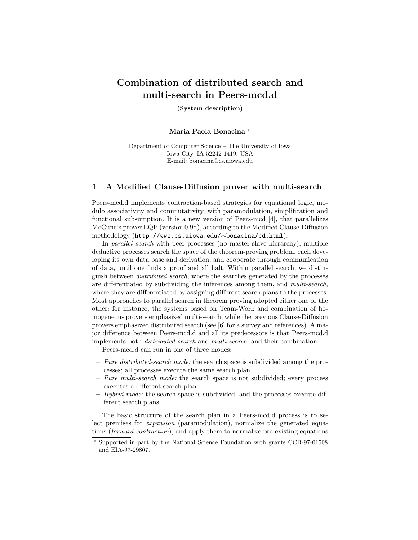## Combination of distributed search and multi-search in Peers-mcd.d

(System description)

Maria Paola Bonacina<sup>\*</sup>

Department of Computer Science – The University of Iowa Iowa City, IA 52242-1419, USA E-mail: bonacina@cs.uiowa.edu

## 1 A Modified Clause-Diffusion prover with multi-search

Peers-mcd.d implements contraction-based strategies for equational logic, modulo associativity and commutativity, with paramodulation, simplification and functional subsumption. It is a new version of Peers-mcd [4], that parallelizes McCune's prover EQP (version 0.9d), according to the Modified Clause-Diffusion methodology (http://www.cs.uiowa.edu/∼bonacina/cd.html).

In parallel search with peer processes (no master-slave hierarchy), multiple deductive processes search the space of the theorem-proving problem, each developing its own data base and derivation, and cooperate through communication of data, until one finds a proof and all halt. Within parallel search, we distinguish between distributed search, where the searches generated by the processes are differentiated by subdividing the inferences among them, and multi-search, where they are differentiated by assigning different search plans to the processes. Most approaches to parallel search in theorem proving adopted either one or the other: for instance, the systems based on Team-Work and combination of homogeneous provers emphasized multi-search, while the previous Clause-Diffusion provers emphasized distributed search (see [6] for a survey and references). A major difference between Peers-mcd.d and all its predecessors is that Peers-mcd.d implements both distributed search and multi-search, and their combination.

Peers-mcd.d can run in one of three modes:

- $-$  *Pure distributed-search mode:* the search space is subdivided among the processes; all processes execute the same search plan.
- $-$  *Pure multi-search mode:* the search space is not subdivided; every process executes a different search plan.
- $-$  Hybrid mode: the search space is subdivided, and the processes execute different search plans.

The basic structure of the search plan in a Peers-mcd.d process is to select premises for *expansion* (paramodulation), normalize the generated equations (forward contraction), and apply them to normalize pre-existing equations

<sup>⋆</sup> Supported in part by the National Science Foundation with grants CCR-97-01508 and EIA-97-29807.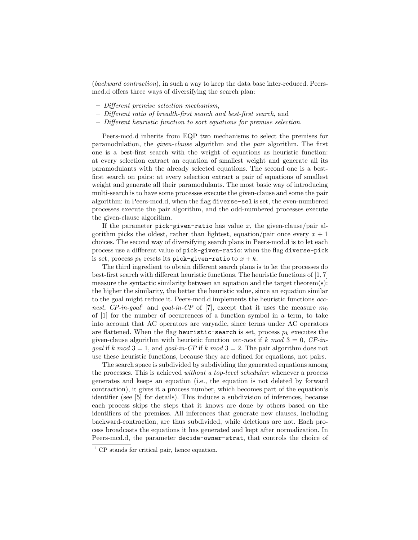(backward contraction), in such a way to keep the data base inter-reduced. Peersmcd.d offers three ways of diversifying the search plan:

- Different premise selection mechanism,
- Different ratio of breadth-first search and best-first search, and
- Different heuristic function to sort equations for premise selection.

Peers-mcd.d inherits from EQP two mechanisms to select the premises for paramodulation, the given-clause algorithm and the pair algorithm. The first one is a best-first search with the weight of equations as heuristic function: at every selection extract an equation of smallest weight and generate all its paramodulants with the already selected equations. The second one is a bestfirst search on pairs: at every selection extract a pair of equations of smallest weight and generate all their paramodulants. The most basic way of introducing multi-search is to have some processes execute the given-clause and some the pair algorithm: in Peers-mcd.d, when the flag diverse-sel is set, the even-numbered processes execute the pair algorithm, and the odd-numbered processes execute the given-clause algorithm.

If the parameter pick-given-ratio has value x, the given-clause/pair algorithm picks the oldest, rather than lightest, equation/pair once every  $x + 1$ choices. The second way of diversifying search plans in Peers-mcd.d is to let each process use a different value of pick-given-ratio: when the flag diverse-pick is set, process  $p_k$  resets its pick-given-ratio to  $x + k$ .

The third ingredient to obtain different search plans is to let the processes do best-first search with different heuristic functions. The heuristic functions of [1, 7] measure the syntactic similarity between an equation and the target theorem(s): the higher the similarity, the better the heuristic value, since an equation similar to the goal might reduce it. Peers-mcd.d implements the heuristic functions occnest, CP-in-goal<sup>1</sup> and goal-in-CP of [7], except that it uses the measure  $m_0$ of [1] for the number of occurrences of a function symbol in a term, to take into account that AC operators are varyadic, since terms under AC operators are flattened. When the flag heuristic-search is set, process  $p_k$  executes the given-clause algorithm with heuristic function *occ-nest* if k mod  $3 = 0$ , CP-in*goal* if k mod  $3 = 1$ , and *goal-in-CP* if k mod  $3 = 2$ . The pair algorithm does not use these heuristic functions, because they are defined for equations, not pairs.

The search space is subdivided by subdividing the generated equations among the processes. This is achieved without a top-level scheduler: whenever a process generates and keeps an equation (i.e., the equation is not deleted by forward contraction), it gives it a process number, which becomes part of the equation's identifier (see [5] for details). This induces a subdivision of inferences, because each process skips the steps that it knows are done by others based on the identifiers of the premises. All inferences that generate new clauses, including backward-contraction, are thus subdivided, while deletions are not. Each process broadcasts the equations it has generated and kept after normalization. In Peers-mcd.d, the parameter decide-owner-strat, that controls the choice of

<sup>&</sup>lt;sup>1</sup> CP stands for critical pair, hence equation.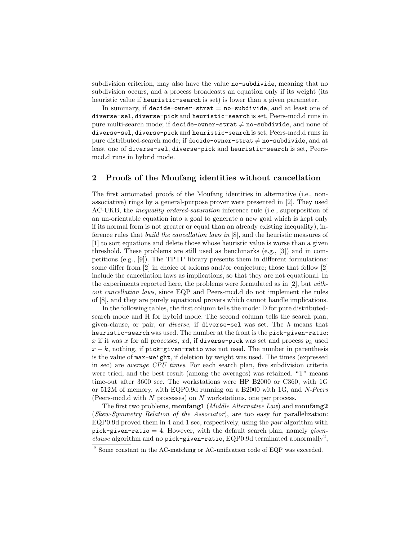subdivision criterion, may also have the value no-subdivide, meaning that no subdivision occurs, and a process broadcasts an equation only if its weight (its heuristic value if heuristic-search is set) is lower than a given parameter.

In summary, if decide-owner-strat  $=$  no-subdivide, and at least one of diverse-sel, diverse-pick and heuristic-search is set, Peers-mcd.d runs in pure multi-search mode; if decide-owner-strat  $\neq$  no-subdivide, and none of diverse-sel, diverse-pick and heuristic-search is set, Peers-mcd.d runs in pure distributed-search mode; if decide-owner-strat  $\neq$  no-subdivide, and at least one of diverse-sel, diverse-pick and heuristic-search is set, Peersmcd.d runs in hybrid mode.

## 2 Proofs of the Moufang identities without cancellation

The first automated proofs of the Moufang identities in alternative (i.e., nonassociative) rings by a general-purpose prover were presented in [2]. They used AC-UKB, the inequality ordered-saturation inference rule (i.e., superposition of an un-orientable equation into a goal to generate a new goal which is kept only if its normal form is not greater or equal than an already existing inequality), inference rules that build the cancellation laws in [8], and the heuristic measures of [1] to sort equations and delete those whose heuristic value is worse than a given threshold. These problems are still used as benchmarks (e.g., [3]) and in competitions (e.g., [9]). The TPTP library presents them in different formulations: some differ from [2] in choice of axioms and/or conjecture; those that follow [2] include the cancellation laws as implications, so that they are not equational. In the experiments reported here, the problems were formulated as in [2], but without cancellation laws, since EQP and Peers-mcd.d do not implement the rules of [8], and they are purely equational provers which cannot handle implications.

In the following tables, the first column tells the mode: D for pure distributedsearch mode and H for hybrid mode. The second column tells the search plan, given-clause, or pair, or diverse, if diverse-sel was set. The h means that heuristic-search was used. The number at the front is the pick-given-ratio: x if it was x for all processes, xd, if diverse-pick was set and process  $p_k$  used  $x + k$ , nothing, if pick-given-ratio was not used. The number in parenthesis is the value of max-weight, if deletion by weight was used. The times (expressed in sec) are average CPU times. For each search plan, five subdivision criteria were tried, and the best result (among the averages) was retained. "T" means time-out after 3600 sec. The workstations were HP B2000 or C360, with 1G or 512M of memory, with EQP0.9d running on a B2000 with 1G, and N-Peers (Peers-mcd.d with N processes) on N workstations, one per process.

The first two problems, **moufang1** (*Middle Alternative Law*) and **moufang2** (Skew-Symmetry Relation of the Associator), are too easy for parallelization: EQP0.9d proved them in 4 and 1 sec, respectively, using the *pair* algorithm with pick-given-ratio = 4. However, with the default search plan, namely  $given$ clause algorithm and no pick-given-ratio, EQP0.9d terminated abnormally<sup>2</sup>,

 $^2$  Some constant in the AC-matching or AC-unification code of EQP was exceeded.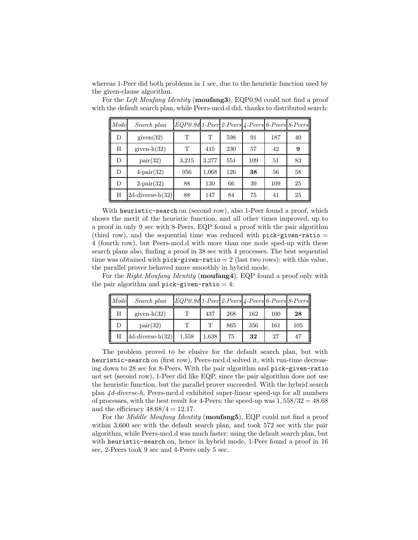whereas 1-Peer did both problems in 1 sec, due to the heuristic function used by the given-clause algorithm.

| Mode | Search plan            | $EQP0.9d$ 1-Peer 2-Peers 4-Peers 6-Peers 8-Peers |       |     |     |     |    |
|------|------------------------|--------------------------------------------------|-------|-----|-----|-----|----|
| D    | given(32)              | T                                                | T     | 598 | 91  | 187 | 40 |
| Н    | given- $h(32)$         | T                                                | 415   | 230 | 57  | 42  | 9  |
| D    | pair(32)               | 3.215                                            | 3,277 | 551 | 109 | 51  | 83 |
| D    | $4-pair(32)$           | 956                                              | 1,068 | 126 | 38  | 56  | 58 |
| D    | $2$ -pair $(32)$       | 88                                               | 130   | 66  | 39  | 109 | 25 |
| Η    | $2d$ -diverse- $h(32)$ | 88                                               | 147   | 84  | 75  | 41  | 25 |

For the Left Moufang Identity (moufang3), EQP0.9d could not find a proof with the default search plan, while Peers-mcd.d did, thanks to distributed search:

With heuristic-search on (second row), also 1-Peer found a proof, which shows the merit of the heuristic function, and all other times improved, up to a proof in only 9 sec with 8-Peers. EQP found a proof with the pair algorithm (third row), and the sequential time was reduced with  $pick-given-ratio =$ 4 (fourth row), but Peers-mcd.d with more than one node sped-up with these search plans also, finding a proof in 38 sec with 4 processes. The best sequential time was obtained with  $\text{pick-given-ratio} = 2$  (last two rows): with this value, the parallel prover behaved more smoothly in hybrid mode.

For the Right Moufang Identity (moufang4), EQP found a proof only with the pair algorithm and  $\text{pick-given-ratio} = 4$ :

| Mode | Search plan      | $EQP0.9d$ 1-Peer 2-Peers 4-Peers 6-Peers 8-Peers |       |     |     |     |     |
|------|------------------|--------------------------------------------------|-------|-----|-----|-----|-----|
| H    | given- $h(32)$   |                                                  | 437   | 268 | 162 | 100 | 28  |
|      | pair(32)         |                                                  |       | 865 | 356 | 161 | 105 |
| H    | 4d-diverse-h(32) | 1.558                                            | 1.638 | 75  | 32  | 27  | 47  |

The problem proved to be elusive for the default search plan, but with heuristic-search on (first row), Peers-mcd.d solved it, with run-time decreasing down to 28 sec for 8-Peers. With the pair algorithm and pick-given-ratio not set (second row), 1-Peer did like EQP, since the pair algorithm does not use the heuristic function, but the parallel prover succeeded. With the hybrid search plan 4d-diverse-h, Peers-mcd.d exhibited super-linear speed-up for all numbers of processes, with the best result for 4-Peers: the speed-up was  $1,558/32 = 48.68$ and the efficiency  $48.68/4 = 12.17$ .

For the Middle Moufang Identity (moufang5), EQP could not find a proof within 3,600 sec with the default search plan, and took 572 sec with the pair algorithm, while Peers-mcd.d was much faster: using the default search plan, but with heuristic-search on, hence in hybrid mode, 1-Peer found a proof in 16 sec, 2-Peers took 9 sec and 4-Peers only 5 sec.